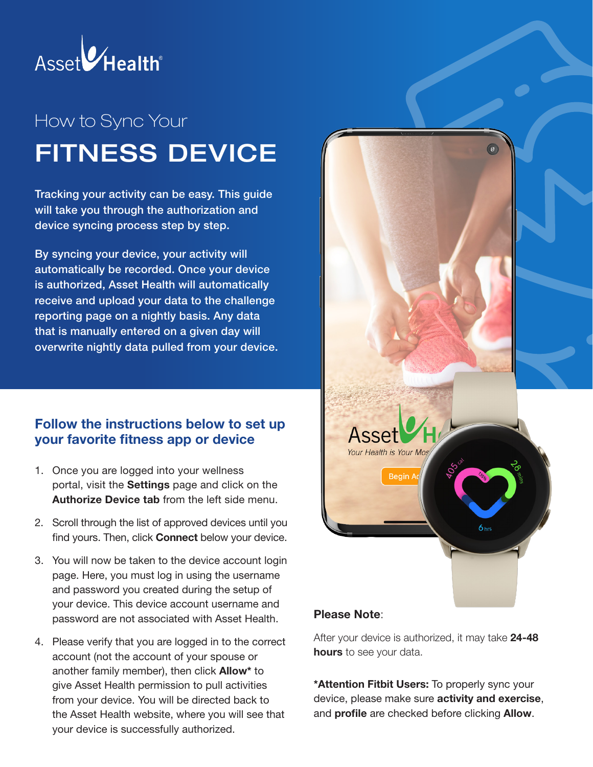

# How to Sync Your FITNESS DEVICE

Tracking your activity can be easy. This guide will take you through the authorization and device syncing process step by step.

By syncing your device, your activity will automatically be recorded. Once your device is authorized, Asset Health will automatically receive and upload your data to the challenge reporting page on a nightly basis. Any data that is manually entered on a given day will overwrite nightly data pulled from your device.

#### Follow the instructions below to set up your favorite fitness app or device

- 1. Once you are logged into your wellness portal, visit the Settings page and click on the Authorize Device tab from the left side menu.
- 2. Scroll through the list of approved devices until you find yours. Then, click **Connect** below your device.
- 3. You will now be taken to the device account login page. Here, you must log in using the username and password you created during the setup of your device. This device account username and password are not associated with Asset Health.
- 4. Please verify that you are logged in to the correct account (not the account of your spouse or another family member), then click Allow\* to give Asset Health permission to pull activities from your device. You will be directed back to the Asset Health website, where you will see that your device is successfully authorized.



#### Please Note:

After your device is authorized, it may take 24-48 hours to see your data.

\*Attention Fitbit Users: To properly sync your device, please make sure **activity and exercise**, and **profile** are checked before clicking **Allow**.